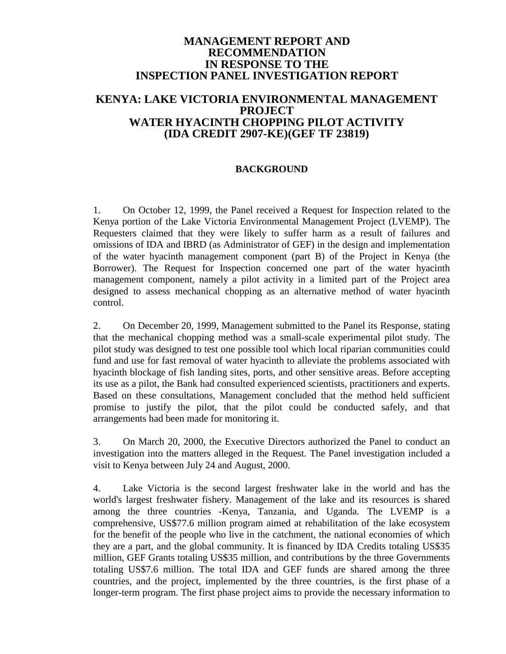### **MANAGEMENT REPORT AND RECOMMENDATION IN RESPONSE TO THE INSPECTION PANEL INVESTIGATION REPORT**

# **KENYA: LAKE VICTORIA ENVIRONMENTAL MANAGEMENT PROJECT WATER HYACINTH CHOPPING PILOT ACTIVITY (IDA CREDIT 2907-KE)(GEF TF 23819)**

### **BACKGROUND**

1. On October 12, 1999, the Panel received a Request for Inspection related to the Kenya portion of the Lake Victoria Environmental Management Project (LVEMP). The Requesters claimed that they were likely to suffer harm as a result of failures and omissions of IDA and IBRD (as Administrator of GEF) in the design and implementation of the water hyacinth management component (part B) of the Project in Kenya (the Borrower). The Request for Inspection concerned one part of the water hyacinth management component, namely a pilot activity in a limited part of the Project area designed to assess mechanical chopping as an alternative method of water hyacinth control.

2. On December 20, 1999, Management submitted to the Panel its Response, stating that the mechanical chopping method was a small-scale experimental pilot study. The pilot study was designed to test one possible tool which local riparian communities could fund and use for fast removal of water hyacinth to alleviate the problems associated with hyacinth blockage of fish landing sites, ports, and other sensitive areas. Before accepting its use as a pilot, the Bank had consulted experienced scientists, practitioners and experts. Based on these consultations, Management concluded that the method held sufficient promise to justify the pilot, that the pilot could be conducted safely, and that arrangements had been made for monitoring it.

3. On March 20, 2000, the Executive Directors authorized the Panel to conduct an investigation into the matters alleged in the Request. The Panel investigation included a visit to Kenya between July 24 and August, 2000.

4. Lake Victoria is the second largest freshwater lake in the world and has the world's largest freshwater fishery. Management of the lake and its resources is shared among the three countries -Kenya, Tanzania, and Uganda. The LVEMP is a comprehensive, US\$77.6 million program aimed at rehabilitation of the lake ecosystem for the benefit of the people who live in the catchment, the national economies of which they are a part, and the global community. It is financed by IDA Credits totaling US\$35 million, GEF Grants totaling US\$35 million, and contributions by the three Governments totaling US\$7.6 million. The total IDA and GEF funds are shared among the three countries, and the project, implemented by the three countries, is the first phase of a longer-term program. The first phase project aims to provide the necessary information to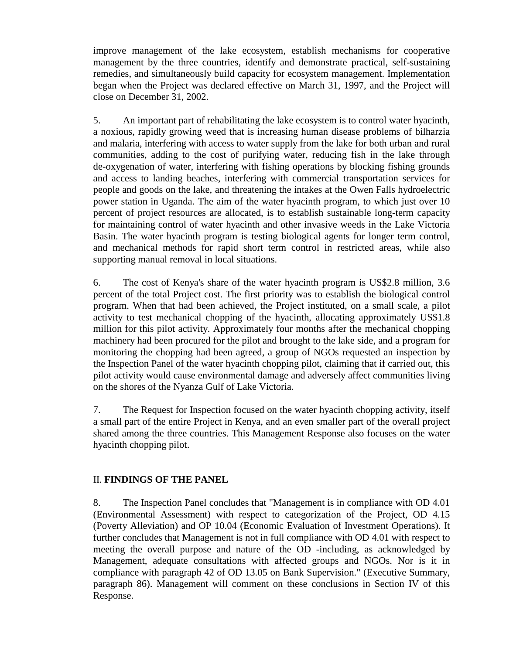improve management of the lake ecosystem, establish mechanisms for cooperative management by the three countries, identify and demonstrate practical, self-sustaining remedies, and simultaneously build capacity for ecosystem management. Implementation began when the Project was declared effective on March 31, 1997, and the Project will close on December 31, 2002.

5. An important part of rehabilitating the lake ecosystem is to control water hyacinth, a noxious, rapidly growing weed that is increasing human disease problems of bilharzia and malaria, interfering with access to water supply from the lake for both urban and rural communities, adding to the cost of purifying water, reducing fish in the lake through de-oxygenation of water, interfering with fishing operations by blocking fishing grounds and access to landing beaches, interfering with commercial transportation services for people and goods on the lake, and threatening the intakes at the Owen Falls hydroelectric power station in Uganda. The aim of the water hyacinth program, to which just over 10 percent of project resources are allocated, is to establish sustainable long-term capacity for maintaining control of water hyacinth and other invasive weeds in the Lake Victoria Basin. The water hyacinth program is testing biological agents for longer term control, and mechanical methods for rapid short term control in restricted areas, while also supporting manual removal in local situations.

6. The cost of Kenya's share of the water hyacinth program is US\$2.8 million, 3.6 percent of the total Project cost. The first priority was to establish the biological control program. When that had been achieved, the Project instituted, on a small scale, a pilot activity to test mechanical chopping of the hyacinth, allocating approximately US\$1.8 million for this pilot activity. Approximately four months after the mechanical chopping machinery had been procured for the pilot and brought to the lake side, and a program for monitoring the chopping had been agreed, a group of NGOs requested an inspection by the Inspection Panel of the water hyacinth chopping pilot, claiming that if carried out, this pilot activity would cause environmental damage and adversely affect communities living on the shores of the Nyanza Gulf of Lake Victoria.

7. The Request for Inspection focused on the water hyacinth chopping activity, itself a small part of the entire Project in Kenya, and an even smaller part of the overall project shared among the three countries. This Management Response also focuses on the water hyacinth chopping pilot.

### II. **FINDINGS OF THE PANEL**

8. The Inspection Panel concludes that "Management is in compliance with OD 4.01 (Environmental Assessment) with respect to categorization of the Project, OD 4.15 (Poverty Alleviation) and OP 10.04 (Economic Evaluation of Investment Operations). It further concludes that Management is not in full compliance with OD 4.01 with respect to meeting the overall purpose and nature of the OD -including, as acknowledged by Management, adequate consultations with affected groups and NGOs. Nor is it in compliance with paragraph 42 of OD 13.05 on Bank Supervision." (Executive Summary, paragraph 86). Management will comment on these conclusions in Section IV of this Response.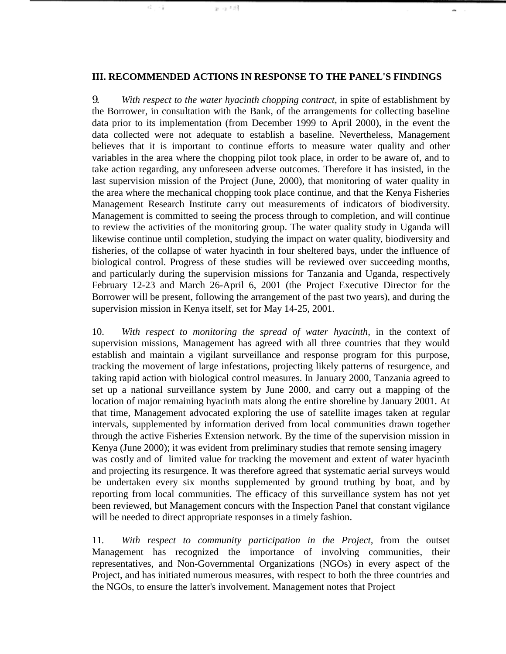#### **III. RECOMMENDED ACTIONS IN RESPONSE TO THE PANEL'S FINDINGS**

and the

an ca 139

 $\mathbb{Z}^n \rightarrow \mathbb{R}$ 

9*. With respect to the water hyacinth chopping contract,* in spite of establishment by the Borrower, in consultation with the Bank, of the arrangements for collecting baseline data prior to its implementation (from December 1999 to April 2000), in the event the data collected were not adequate to establish a baseline. Nevertheless, Management believes that it is important to continue efforts to measure water quality and other variables in the area where the chopping pilot took place, in order to be aware of, and to take action regarding, any unforeseen adverse outcomes. Therefore it has insisted, in the last supervision mission of the Project (June, 2000), that monitoring of water quality in the area where the mechanical chopping took place continue, and that the Kenya Fisheries Management Research Institute carry out measurements of indicators of biodiversity. Management is committed to seeing the process through to completion, and will continue to review the activities of the monitoring group. The water quality study in Uganda will likewise continue until completion, studying the impact on water quality, biodiversity and fisheries, of the collapse of water hyacinth in four sheltered bays, under the influence of biological control. Progress of these studies will be reviewed over succeeding months, and particularly during the supervision missions for Tanzania and Uganda, respectively February 12-23 and March 26-April 6, 2001 (the Project Executive Director for the Borrower will be present, following the arrangement of the past two years), and during the supervision mission in Kenya itself, set for May 14-25, 2001.

10. *With respect to monitoring the spread of water hyacinth,* in the context of supervision missions, Management has agreed with all three countries that they would establish and maintain a vigilant surveillance and response program for this purpose, tracking the movement of large infestations, projecting likely patterns of resurgence, and taking rapid action with biological control measures. In January 2000, Tanzania agreed to set up a national surveillance system by June 2000, and carry out a mapping of the location of major remaining hyacinth mats along the entire shoreline by January 2001. At that time, Management advocated exploring the use of satellite images taken at regular intervals, supplemented by information derived from local communities drawn together through the active Fisheries Extension network. By the time of the supervision mission in Kenya (June 2000); it was evident from preliminary studies that remote sensing imagery was costly and of limited value for tracking the movement and extent of water hyacinth and projecting its resurgence. It was therefore agreed that systematic aerial surveys would be undertaken every six months supplemented by ground truthing by boat, and by reporting from local communities. The efficacy of this surveillance system has not yet been reviewed, but Management concurs with the Inspection Panel that constant vigilance will be needed to direct appropriate responses in a timely fashion.

11*. With respect to community participation in the Project,* from the outset Management has recognized the importance of involving communities, their representatives, and Non-Governmental Organizations (NGOs) in every aspect of the Project, and has initiated numerous measures, with respect to both the three countries and the NGOs, to ensure the latter's involvement. Management notes that Project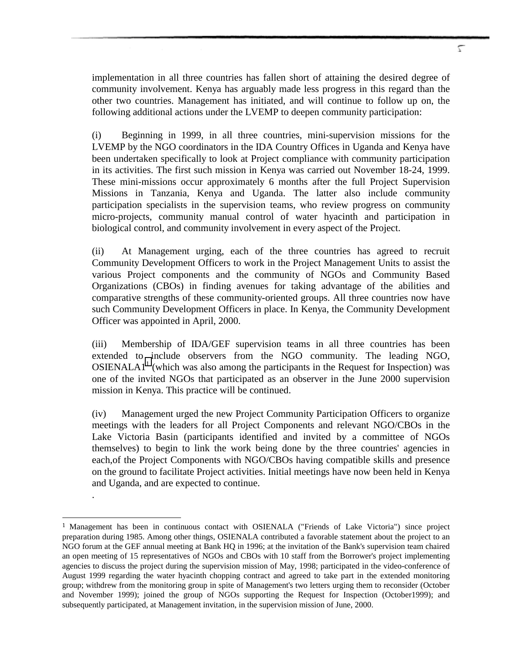implementation in all three countries has fallen short of attaining the desired degree of community involvement. Kenya has arguably made less progress in this regard than the other two countries. Management has initiated, and will continue to follow up on, the following additional actions under the LVEMP to deepen community participation:

(i) Beginning in 1999, in all three countries, mini-supervision missions for the LVEMP by the NGO coordinators in the IDA Country Offices in Uganda and Kenya have been undertaken specifically to look at Project compliance with community participation in its activities. The first such mission in Kenya was carried out November 18-24, 1999. These mini-missions occur approximately 6 months after the full Project Supervision Missions in Tanzania, Kenya and Uganda. The latter also include community participation specialists in the supervision teams, who review progress on community micro-projects, community manual control of water hyacinth and participation in biological control, and community involvement in every aspect of the Project.

(ii) At Management urging, each of the three countries has agreed to recruit Community Development Officers to work in the Project Management Units to assist the various Project components and the community of NGOs and Community Based Organizations (CBOs) in finding avenues for taking advantage of the abilities and comparative strengths of these community-oriented groups. All three countries now have such Community Development Officers in place. In Kenya, the Community Development Officer was appointed in April, 2000.

(iii) Membership of IDA/GEF supervision teams in all three countries has been extended to include observers from the NGO community. The leading NGO, OSIENALA $1<sup>1</sup>$  (which was also among the participants in the Request for Inspection) was one of the invited NGOs that participated as an observer in the June 2000 supervision mission in Kenya. This practice will be continued.

(iv) Management urged the new Project Community Participation Officers to organize meetings with the leaders for all Project Components and relevant NGO/CBOs in the Lake Victoria Basin (participants identified and invited by a committee of NGOs themselves) to begin to link the work being done by the three countries' agencies in each,of the Project Components with NGO/CBOs having compatible skills and presence on the ground to facilitate Project activities. Initial meetings have now been held in Kenya and Uganda, and are expected to continue.

.

-

<sup>&</sup>lt;sup>1</sup> Management has been in continuous contact with OSIENALA ("Friends of Lake Victoria") since project preparation during 1985. Among other things, OSIENALA contributed a favorable statement about the project to an NGO forum at the GEF annual meeting at Bank HQ in 1996; at the invitation of the Bank's supervision team chaired an open meeting of 15 representatives of NGOs and CBOs with 10 staff from the Borrower's project implementing agencies to discuss the project during the supervision mission of May, 1998; participated in the video-conference of August 1999 regarding the water hyacinth chopping contract and agreed to take part in the extended monitoring group; withdrew from the monitoring group in spite of Management's two letters urging them to reconsider (October and November 1999); joined the group of NGOs supporting the Request for Inspection (October1999); and subsequently participated, at Management invitation, in the supervision mission of June, 2000.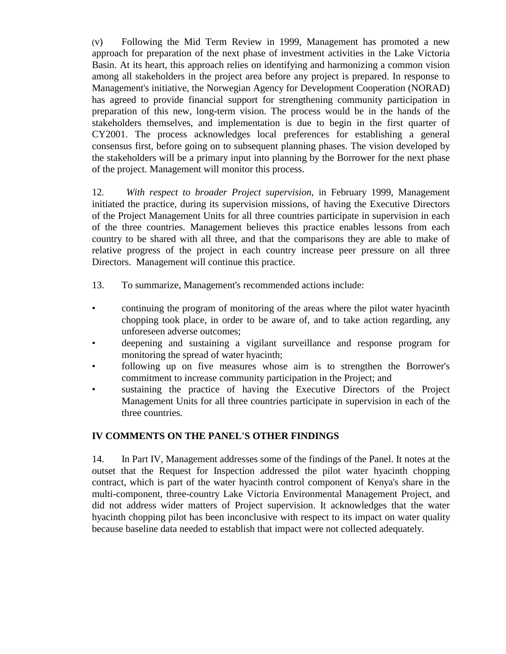(v) Following the Mid Term Review in 1999, Management has promoted a new approach for preparation of the next phase of investment activities in the Lake Victoria Basin. At its heart, this approach relies on identifying and harmonizing a common vision among all stakeholders in the project area before any project is prepared. In response to Management's initiative, the Norwegian Agency for Development Cooperation (NORAD) has agreed to provide financial support for strengthening community participation in preparation of this new, long-term vision. The process would be in the hands of the stakeholders themselves, and implementation is due to begin in the first quarter of CY2001. The process acknowledges local preferences for establishing a general consensus first, before going on to subsequent planning phases. The vision developed by the stakeholders will be a primary input into planning by the Borrower for the next phase of the project. Management will monitor this process.

12*. With respect to broader Project supervision,* in February 1999, Management initiated the practice, during its supervision missions, of having the Executive Directors of the Project Management Units for all three countries participate in supervision in each of the three countries. Management believes this practice enables lessons from each country to be shared with all three, and that the comparisons they are able to make of relative progress of the project in each country increase peer pressure on all three Directors. Management will continue this practice.

- 13. To summarize, Management's recommended actions include:
- continuing the program of monitoring of the areas where the pilot water hyacinth chopping took place, in order to be aware of, and to take action regarding, any unforeseen adverse outcomes;
- deepening and sustaining a vigilant surveillance and response program for monitoring the spread of water hyacinth;
- following up on five measures whose aim is to strengthen the Borrower's commitment to increase community participation in the Project; and
- sustaining the practice of having the Executive Directors of the Project Management Units for all three countries participate in supervision in each of the three countries.

### **IV COMMENTS ON THE PANEL'S OTHER FINDINGS**

14. In Part IV, Management addresses some of the findings of the Panel. It notes at the outset that the Request for Inspection addressed the pilot water hyacinth chopping contract, which is part of the water hyacinth control component of Kenya's share in the multi-component, three-country Lake Victoria Environmental Management Project, and did not address wider matters of Project supervision. It acknowledges that the water hyacinth chopping pilot has been inconclusive with respect to its impact on water quality because baseline data needed to establish that impact were not collected adequately.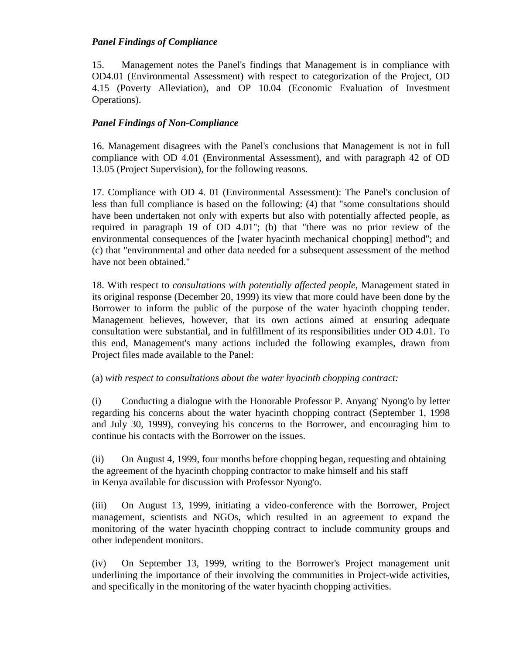### *Panel Findings of Compliance*

15. Management notes the Panel's findings that Management is in compliance with OD4.01 (Environmental Assessment) with respect to categorization of the Project, OD 4.15 (Poverty Alleviation), and OP 10.04 (Economic Evaluation of Investment Operations).

# *Panel Findings of Non-Compliance*

16. Management disagrees with the Panel's conclusions that Management is not in full compliance with OD 4.01 (Environmental Assessment), and with paragraph 42 of OD 13.05 (Project Supervision), for the following reasons.

17. Compliance with OD 4. 01 (Environmental Assessment): The Panel's conclusion of less than full compliance is based on the following: (4) that "some consultations should have been undertaken not only with experts but also with potentially affected people, as required in paragraph 19 of OD 4.01"; (b) that "there was no prior review of the environmental consequences of the [water hyacinth mechanical chopping] method"; and (c) that "environmental and other data needed for a subsequent assessment of the method have not been obtained."

18. With respect to *consultations with potentially affected people*, Management stated in its original response (December 20, 1999) its view that more could have been done by the Borrower to inform the public of the purpose of the water hyacinth chopping tender. Management believes, however, that its own actions aimed at ensuring adequate consultation were substantial, and in fulfillment of its responsibilities under OD 4.01. To this end, Management's many actions included the following examples, drawn from Project files made available to the Panel:

(a) *with respect to consultations about the water hyacinth chopping contract:*

(i) Conducting a dialogue with the Honorable Professor P. Anyang' Nyong'o by letter regarding his concerns about the water hyacinth chopping contract (September 1, 1998 and July 30, 1999), conveying his concerns to the Borrower, and encouraging him to continue his contacts with the Borrower on the issues.

(ii) On August 4, 1999, four months before chopping began, requesting and obtaining the agreement of the hyacinth chopping contractor to make himself and his staff in Kenya available for discussion with Professor Nyong'o.

(iii) On August 13, 1999, initiating a video-conference with the Borrower, Project management, scientists and NGOs, which resulted in an agreement to expand the monitoring of the water hyacinth chopping contract to include community groups and other independent monitors.

(iv) On September 13, 1999, writing to the Borrower's Project management unit underlining the importance of their involving the communities in Project-wide activities, and specifically in the monitoring of the water hyacinth chopping activities.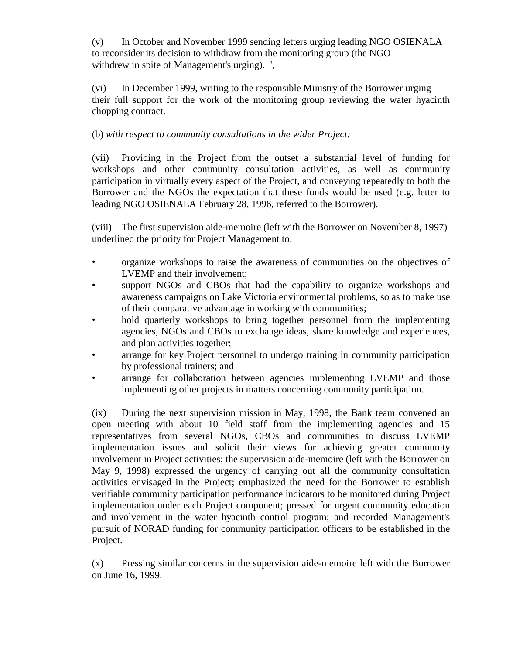(v) In October and November 1999 sending letters urging leading NGO OSIENALA to reconsider its decision to withdraw from the monitoring group (the NGO withdrew in spite of Management's urging). ',

(vi) In December 1999, writing to the responsible Ministry of the Borrower urging their full support for the work of the monitoring group reviewing the water hyacinth chopping contract.

(b) *with respect to community consultations in the wider Project:*

(vii) Providing in the Project from the outset a substantial level of funding for workshops and other community consultation activities, as well as community participation in virtually every aspect of the Project, and conveying repeatedly to both the Borrower and the NGOs the expectation that these funds would be used (e.g. letter to leading NGO OSIENALA February 28, 1996, referred to the Borrower).

(viii) The first supervision aide-memoire (left with the Borrower on November 8, 1997) underlined the priority for Project Management to:

- organize workshops to raise the awareness of communities on the objectives of LVEMP and their involvement;
- support NGOs and CBOs that had the capability to organize workshops and awareness campaigns on Lake Victoria environmental problems, so as to make use of their comparative advantage in working with communities;
- hold quarterly workshops to bring together personnel from the implementing agencies, NGOs and CBOs to exchange ideas, share knowledge and experiences, and plan activities together;
- arrange for key Project personnel to undergo training in community participation by professional trainers; and
- arrange for collaboration between agencies implementing LVEMP and those implementing other projects in matters concerning community participation.

(ix) During the next supervision mission in May, 1998, the Bank team convened an open meeting with about 10 field staff from the implementing agencies and 15 representatives from several NGOs, CBOs and communities to discuss LVEMP implementation issues and solicit their views for achieving greater community involvement in Project activities; the supervision aide-memoire (left with the Borrower on May 9, 1998) expressed the urgency of carrying out all the community consultation activities envisaged in the Project; emphasized the need for the Borrower to establish verifiable community participation performance indicators to be monitored during Project implementation under each Project component; pressed for urgent community education and involvement in the water hyacinth control program; and recorded Management's pursuit of NORAD funding for community participation officers to be established in the Project.

(x) Pressing similar concerns in the supervision aide-memoire left with the Borrower on June 16, 1999.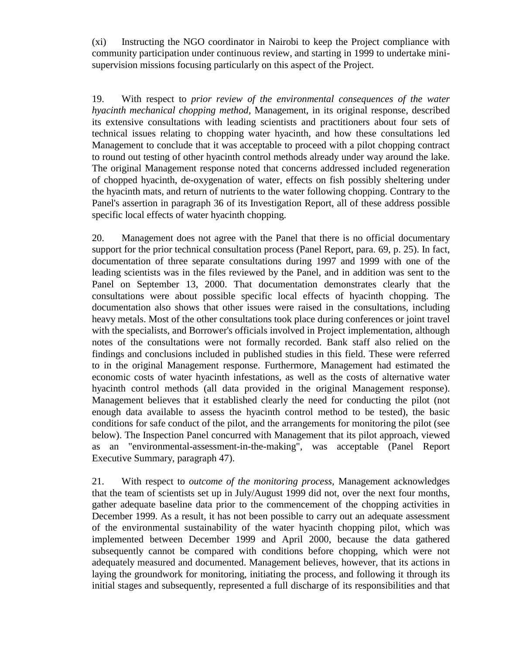(xi) Instructing the NGO coordinator in Nairobi to keep the Project compliance with community participation under continuous review, and starting in 1999 to undertake minisupervision missions focusing particularly on this aspect of the Project.

19. With respect to *prior review of the environmental consequences of the water hyacinth mechanical chopping method,* Management, in its original response, described its extensive consultations with leading scientists and practitioners about four sets of technical issues relating to chopping water hyacinth, and how these consultations led Management to conclude that it was acceptable to proceed with a pilot chopping contract to round out testing of other hyacinth control methods already under way around the lake. The original Management response noted that concerns addressed included regeneration of chopped hyacinth, de-oxygenation of water, effects on fish possibly sheltering under the hyacinth mats, and return of nutrients to the water following chopping. Contrary to the Panel's assertion in paragraph 36 of its Investigation Report, all of these address possible specific local effects of water hyacinth chopping.

20. Management does not agree with the Panel that there is no official documentary support for the prior technical consultation process (Panel Report, para. 69, p. 25). In fact, documentation of three separate consultations during 1997 and 1999 with one of the leading scientists was in the files reviewed by the Panel, and in addition was sent to the Panel on September 13, 2000. That documentation demonstrates clearly that the consultations were about possible specific local effects of hyacinth chopping. The documentation also shows that other issues were raised in the consultations, including heavy metals. Most of the other consultations took place during conferences or joint travel with the specialists, and Borrower's officials involved in Project implementation, although notes of the consultations were not formally recorded. Bank staff also relied on the findings and conclusions included in published studies in this field. These were referred to in the original Management response. Furthermore, Management had estimated the economic costs of water hyacinth infestations, as well as the costs of alternative water hyacinth control methods (all data provided in the original Management response). Management believes that it established clearly the need for conducting the pilot (not enough data available to assess the hyacinth control method to be tested), the basic conditions for safe conduct of the pilot, and the arrangements for monitoring the pilot (see below). The Inspection Panel concurred with Management that its pilot approach, viewed as an "environmental-assessment-in-the-making", was acceptable (Panel Report Executive Summary, paragraph 47).

21. With respect to *outcome of the monitoring process,* Management acknowledges that the team of scientists set up in July/August 1999 did not, over the next four months, gather adequate baseline data prior to the commencement of the chopping activities in December 1999. As a result, it has not been possible to carry out an adequate assessment of the environmental sustainability of the water hyacinth chopping pilot, which was implemented between December 1999 and April 2000, because the data gathered subsequently cannot be compared with conditions before chopping, which were not adequately measured and documented. Management believes, however, that its actions in laying the groundwork for monitoring, initiating the process, and following it through its initial stages and subsequently, represented a full discharge of its responsibilities and that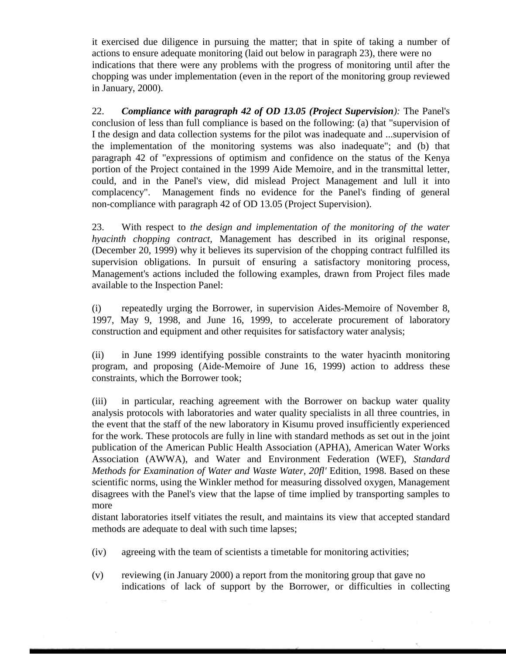it exercised due diligence in pursuing the matter; that in spite of taking a number of actions to ensure adequate monitoring (laid out below in paragraph 23), there were no indications that there were any problems with the progress of monitoring until after the chopping was under implementation (even in the report of the monitoring group reviewed in January, 2000).

22. *Compliance with paragraph 42 of OD 13.05 (Project Supervision):* The Panel's conclusion of less than full compliance is based on the following: (a) that "supervision of I the design and data collection systems for the pilot was inadequate and ...supervision of the implementation of the monitoring systems was also inadequate"; and (b) that paragraph 42 of "expressions of optimism and confidence on the status of the Kenya portion of the Project contained in the 1999 Aide Memoire, and in the transmittal letter, could, and in the Panel's view, did mislead Project Management and lull it into complacency". Management finds no evidence for the Panel's finding of general non-compliance with paragraph 42 of OD 13.05 (Project Supervision).

23. With respect to *the design and implementation of the monitoring of the water hyacinth chopping contract,* Management has described in its original response, (December 20, 1999) why it believes its supervision of the chopping contract fulfilled its supervision obligations. In pursuit of ensuring a satisfactory monitoring process, Management's actions included the following examples, drawn from Project files made available to the Inspection Panel:

(i) repeatedly urging the Borrower, in supervision Aides-Memoire of November 8, 1997, May 9, 1998, and June 16, 1999, to accelerate procurement of laboratory construction and equipment and other requisites for satisfactory water analysis;

(ii) in June 1999 identifying possible constraints to the water hyacinth monitoring program, and proposing (Aide-Memoire of June 16, 1999) action to address these constraints, which the Borrower took;

(iii) in particular, reaching agreement with the Borrower on backup water quality analysis protocols with laboratories and water quality specialists in all three countries, in the event that the staff of the new laboratory in Kisumu proved insufficiently experienced for the work. These protocols are fully in line with standard methods as set out in the joint publication of the American Public Health Association (APHA), American Water Works Association (AWWA), and Water and Environment Federation (WEF), *Standard Methods for Examination of Water and Waste Water, 20fl'* Edition, 1998. Based on these scientific norms, using the Winkler method for measuring dissolved oxygen, Management disagrees with the Panel's view that the lapse of time implied by transporting samples to more

distant laboratories itself vitiates the result, and maintains its view that accepted standard methods are adequate to deal with such time lapses;

- (iv) agreeing with the team of scientists a timetable for monitoring activities;
- (v) reviewing (in January 2000) a report from the monitoring group that gave no indications of lack of support by the Borrower, or difficulties in collecting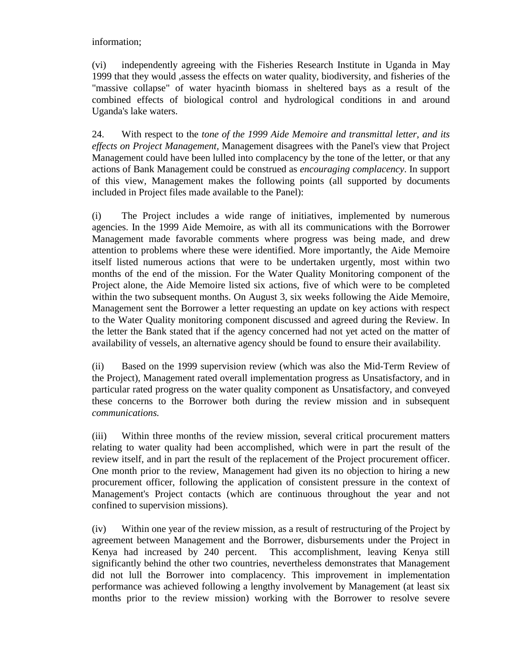information;

(vi) independently agreeing with the Fisheries Research Institute in Uganda in May 1999 that they would ,assess the effects on water quality, biodiversity, and fisheries of the "massive collapse" of water hyacinth biomass in sheltered bays as a result of the combined effects of biological control and hydrological conditions in and around Uganda's lake waters.

24. With respect to the *tone of the 1999 Aide Memoire and transmittal letter, and its effects on Project Management,* Management disagrees with the Panel's view that Project Management could have been lulled into complacency by the tone of the letter, or that any actions of Bank Management could be construed as *encouraging complacency*. In support of this view, Management makes the following points (all supported by documents included in Project files made available to the Panel):

(i) The Project includes a wide range of initiatives, implemented by numerous agencies. In the 1999 Aide Memoire, as with all its communications with the Borrower Management made favorable comments where progress was being made, and drew attention to problems where these were identified. More importantly, the Aide Memoire itself listed numerous actions that were to be undertaken urgently, most within two months of the end of the mission. For the Water Quality Monitoring component of the Project alone, the Aide Memoire listed six actions, five of which were to be completed within the two subsequent months. On August 3, six weeks following the Aide Memoire, Management sent the Borrower a letter requesting an update on key actions with respect to the Water Quality monitoring component discussed and agreed during the Review. In the letter the Bank stated that if the agency concerned had not yet acted on the matter of availability of vessels, an alternative agency should be found to ensure their availability.

(ii) Based on the 1999 supervision review (which was also the Mid-Term Review of the Project), Management rated overall implementation progress as Unsatisfactory, and in particular rated progress on the water quality component as Unsatisfactory, and conveyed these concerns to the Borrower both during the review mission and in subsequent *communications.*

(iii) Within three months of the review mission, several critical procurement matters relating to water quality had been accomplished, which were in part the result of the review itself, and in part the result of the replacement of the Project procurement officer. One month prior to the review, Management had given its no objection to hiring a new procurement officer, following the application of consistent pressure in the context of Management's Project contacts (which are continuous throughout the year and not confined to supervision missions).

(iv) Within one year of the review mission, as a result of restructuring of the Project by agreement between Management and the Borrower, disbursements under the Project in Kenya had increased by 240 percent. This accomplishment, leaving Kenya still significantly behind the other two countries, nevertheless demonstrates that Management did not lull the Borrower into complacency. This improvement in implementation performance was achieved following a lengthy involvement by Management (at least six months prior to the review mission) working with the Borrower to resolve severe